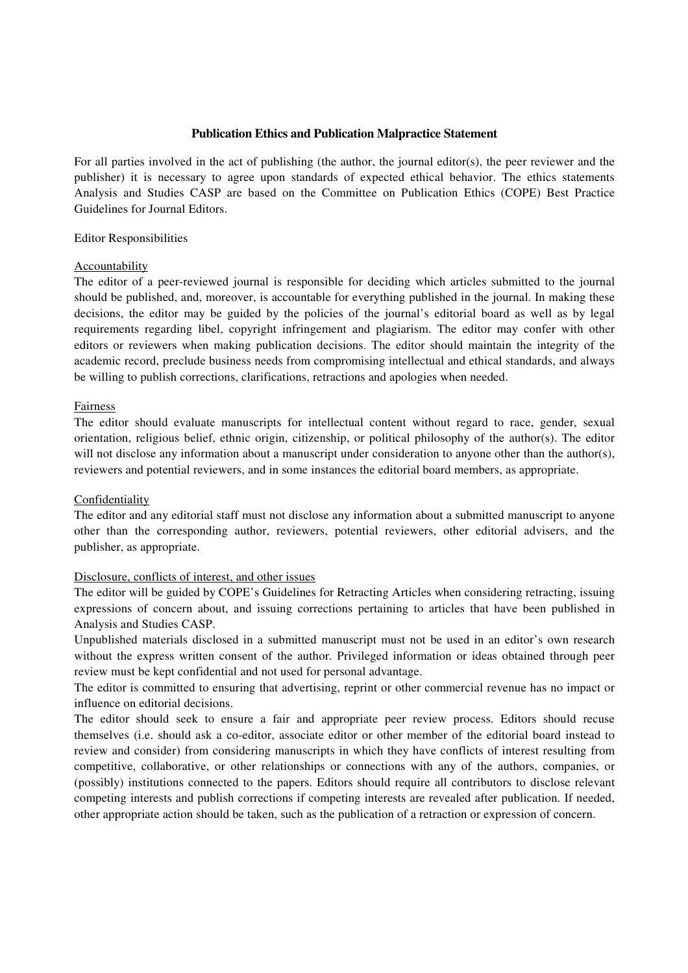### **Publication Ethics and Publication Malpractice Statement**

For all parties involved in the act of publishing (the author, the journal editor(s), the peer reviewer and the publisher) it is necessary to agree upon standards of expected ethical behavior. The ethics statements Analysis and Studies CASP are based on the Committee on Publication Ethics (COPE) Best Practice Guidelines for Journal Editors.

### Editor Responsibilities

### Accountability

The editor of a peer-reviewed journal is responsible for deciding which articles submitted to the journal should be published, and, moreover, is accountable for everything published in the journal. In making these decisions, the editor may be guided by the policies of the journal's editorial board as well as by legal requirements regarding libel, copyright infringement and plagiarism. The editor may confer with other editors or reviewers when making publication decisions. The editor should maintain the integrity of the academic record, preclude business needs from compromising intellectual and ethical standards, and always be willing to publish corrections, clarifications, retractions and apologies when needed.

### Fairness

The editor should evaluate manuscripts for intellectual content without regard to race, gender, sexual orientation, religious belief, ethnic origin, citizenship, or political philosophy of the author(s). The editor will not disclose any information about a manuscript under consideration to anyone other than the author(s), reviewers and potential reviewers, and in some instances the editorial board members, as appropriate.

## Confidentiality

The editor and any editorial staff must not disclose any information about a submitted manuscript to anyone other than the corresponding author, reviewers, potential reviewers, other editorial advisers, and the publisher, as appropriate.

## Disclosure, conflicts of interest, and other issues

The editor will be guided by COPE's Guidelines for Retracting Articles when considering retracting, issuing expressions of concern about, and issuing corrections pertaining to articles that have been published in Analysis and Studies CASP.

Unpublished materials disclosed in a submitted manuscript must not be used in an editor's own research without the express written consent of the author. Privileged information or ideas obtained through peer review must be kept confidential and not used for personal advantage.

The editor is committed to ensuring that advertising, reprint or other commercial revenue has no impact or influence on editorial decisions.

The editor should seek to ensure a fair and appropriate peer review process. Editors should recuse themselves (i.e. should ask a co-editor, associate editor or other member of the editorial board instead to review and consider) from considering manuscripts in which they have conflicts of interest resulting from competitive, collaborative, or other relationships or connections with any of the authors, companies, or (possibly) institutions connected to the papers. Editors should require all contributors to disclose relevant competing interests and publish corrections if competing interests are revealed after publication. If needed, other appropriate action should be taken, such as the publication of a retraction or expression of concern.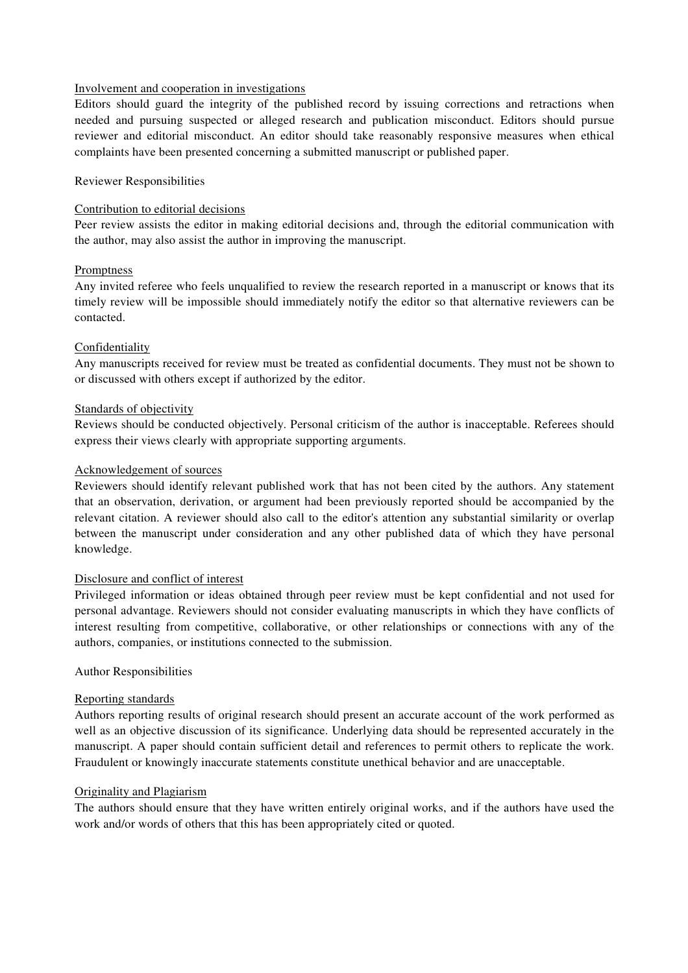## Involvement and cooperation in investigations

Editors should guard the integrity of the published record by issuing corrections and retractions when needed and pursuing suspected or alleged research and publication misconduct. Editors should pursue reviewer and editorial misconduct. An editor should take reasonably responsive measures when ethical complaints have been presented concerning a submitted manuscript or published paper.

### Reviewer Responsibilities

### Contribution to editorial decisions

Peer review assists the editor in making editorial decisions and, through the editorial communication with the author, may also assist the author in improving the manuscript.

### **Promptness**

Any invited referee who feels unqualified to review the research reported in a manuscript or knows that its timely review will be impossible should immediately notify the editor so that alternative reviewers can be contacted.

### **Confidentiality**

Any manuscripts received for review must be treated as confidential documents. They must not be shown to or discussed with others except if authorized by the editor.

### Standards of objectivity

Reviews should be conducted objectively. Personal criticism of the author is inacceptable. Referees should express their views clearly with appropriate supporting arguments.

### Acknowledgement of sources

Reviewers should identify relevant published work that has not been cited by the authors. Any statement that an observation, derivation, or argument had been previously reported should be accompanied by the relevant citation. A reviewer should also call to the editor's attention any substantial similarity or overlap between the manuscript under consideration and any other published data of which they have personal knowledge.

#### Disclosure and conflict of interest

Privileged information or ideas obtained through peer review must be kept confidential and not used for personal advantage. Reviewers should not consider evaluating manuscripts in which they have conflicts of interest resulting from competitive, collaborative, or other relationships or connections with any of the authors, companies, or institutions connected to the submission.

#### Author Responsibilities

#### Reporting standards

Authors reporting results of original research should present an accurate account of the work performed as well as an objective discussion of its significance. Underlying data should be represented accurately in the manuscript. A paper should contain sufficient detail and references to permit others to replicate the work. Fraudulent or knowingly inaccurate statements constitute unethical behavior and are unacceptable.

#### Originality and Plagiarism

The authors should ensure that they have written entirely original works, and if the authors have used the work and/or words of others that this has been appropriately cited or quoted.